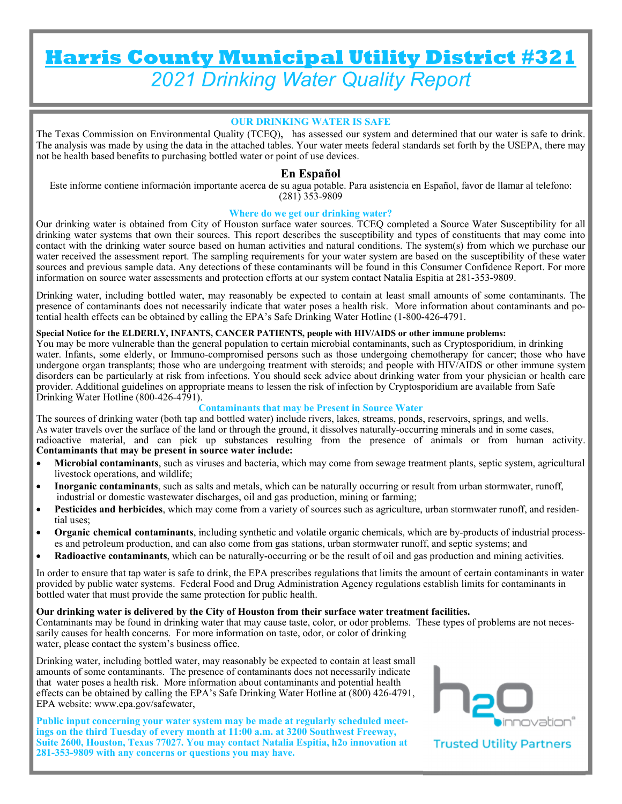# **Harris County Municipal Utility District #321**  *2021 Drinking Water Quality Report*

#### **OUR DRINKING WATER IS SAFE**

The Texas Commission on Environmental Quality (TCEQ), has assessed our system and determined that our water is safe to drink. The analysis was made by using the data in the attached tables. Your water meets federal standards set forth by the USEPA, there may not be health based benefits to purchasing bottled water or point of use devices.

#### **En Español**

Este informe contiene información importante acerca de su agua potable. Para asistencia en Español, favor de llamar al telefono: (281) 353-9809

#### **Where do we get our drinking water?**

Our drinking water is obtained from City of Houston surface water sources. TCEQ completed a Source Water Susceptibility for all drinking water systems that own their sources. This report describes the susceptibility and types of constituents that may come into contact with the drinking water source based on human activities and natural conditions. The system(s) from which we purchase our water received the assessment report. The sampling requirements for your water system are based on the susceptibility of these water sources and previous sample data. Any detections of these contaminants will be found in this Consumer Confidence Report. For more information on source water assessments and protection efforts at our system contact Natalia Espitia at 281-353-9809.

Drinking water, including bottled water, may reasonably be expected to contain at least small amounts of some contaminants. The presence of contaminants does not necessarily indicate that water poses a health risk. More information about contaminants and potential health effects can be obtained by calling the EPA's Safe Drinking Water Hotline (1-800-426-4791.

#### **Special Notice for the ELDERLY, INFANTS, CANCER PATIENTS, people with HIV/AIDS or other immune problems:**

You may be more vulnerable than the general population to certain microbial contaminants, such as Cryptosporidium, in drinking water. Infants, some elderly, or Immuno-compromised persons such as those undergoing chemotherapy for cancer; those who have undergone organ transplants; those who are undergoing treatment with steroids; and people with HIV/AIDS or other immune system disorders can be particularly at risk from infections. You should seek advice about drinking water from your physician or health care provider. Additional guidelines on appropriate means to lessen the risk of infection by Cryptosporidium are available from Safe Drinking Water Hotline (800-426-4791).

#### **Contaminants that may be Present in Source Water**

The sources of drinking water (both tap and bottled water) include rivers, lakes, streams, ponds, reservoirs, springs, and wells. As water travels over the surface of the land or through the ground, it dissolves naturally-occurring minerals and in some cases, radioactive material, and can pick up substances resulting from the presence of animals or from human activity. **Contaminants that may be present in source water include:** 

- **Microbial contaminants**, such as viruses and bacteria, which may come from sewage treatment plants, septic system, agricultural livestock operations, and wildlife;
- **Inorganic contaminants**, such as salts and metals, which can be naturally occurring or result from urban stormwater, runoff, industrial or domestic wastewater discharges, oil and gas production, mining or farming;
- **Pesticides and herbicides**, which may come from a variety of sources such as agriculture, urban stormwater runoff, and residential uses;
- **Organic chemical contaminants**, including synthetic and volatile organic chemicals, which are by-products of industrial processes and petroleum production, and can also come from gas stations, urban stormwater runoff, and septic systems; and
- **Radioactive contaminants**, which can be naturally-occurring or be the result of oil and gas production and mining activities.

In order to ensure that tap water is safe to drink, the EPA prescribes regulations that limits the amount of certain contaminants in water provided by public water systems. Federal Food and Drug Administration Agency regulations establish limits for contaminants in bottled water that must provide the same protection for public health.

#### **Our drinking water is delivered by the City of Houston from their surface water treatment facilities.**

Contaminants may be found in drinking water that may cause taste, color, or odor problems. These types of problems are not necessarily causes for health concerns. For more information on taste, odor, or color of drinking water, please contact the system's business office.

Drinking water, including bottled water, may reasonably be expected to contain at least small amounts of some contaminants. The presence of contaminants does not necessarily indicate that water poses a health risk. More information about contaminants and potential health effects can be obtained by calling the EPA's Safe Drinking Water Hotline at (800) 426-4791, EPA website: www.epa.gov/safewater,

**Public input concerning your water system may be made at regularly scheduled meetings on the third Tuesday of every month at 11:00 a.m. at 3200 Southwest Freeway, Suite 2600, Houston, Texas 77027. You may contact Natalia Espitia, h2o innovation at 281-353-9809 with any concerns or questions you may have.** 



**Trusted Utility Partners**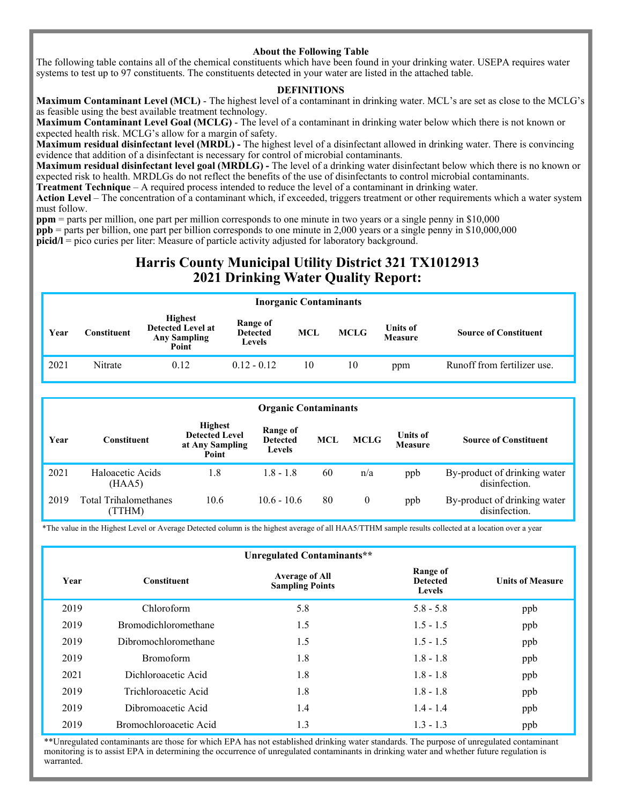#### **About the Following Table**

The following table contains all of the chemical constituents which have been found in your drinking water. USEPA requires water systems to test up to 97 constituents. The constituents detected in your water are listed in the attached table.

#### **DEFINITIONS**

**Maximum Contaminant Level (MCL)** - The highest level of a contaminant in drinking water. MCL's are set as close to the MCLG's as feasible using the best available treatment technology.

**Maximum Contaminant Level Goal (MCLG)** - The level of a contaminant in drinking water below which there is not known or expected health risk. MCLG's allow for a margin of safety.

**Maximum residual disinfectant level (MRDL) -** The highest level of a disinfectant allowed in drinking water. There is convincing evidence that addition of a disinfectant is necessary for control of microbial contaminants.

**Maximum residual disinfectant level goal (MRDLG) -** The level of a drinking water disinfectant below which there is no known or expected risk to health. MRDLGs do not reflect the benefits of the use of disinfectants to control microbial contaminants.

**Treatment Technique** – A required process intended to reduce the level of a contaminant in drinking water.

**Action Level** – The concentration of a contaminant which, if exceeded, triggers treatment or other requirements which a water system must follow.

**ppm** = parts per million, one part per million corresponds to one minute in two years or a single penny in \$10,000

**ppb** = parts per billion, one part per billion corresponds to one minute in 2,000 years or a single penny in \$10,000,000 **picid/l** = pico curies per liter: Measure of particle activity adjusted for laboratory background.

### **Harris County Municipal Utility District 321 TX1012913 2021 Drinking Water Quality Report:**

#### **Inorganic Contaminants**

| Year | Constituent | <b>Highest</b><br><b>Detected Level at</b><br><b>Any Sampling</b><br>Point | Range of<br><b>Detected</b><br>Levels | MCL | <b>MCLG</b> | <b>Units of</b><br><b>Measure</b> | <b>Source of Constituent</b> |
|------|-------------|----------------------------------------------------------------------------|---------------------------------------|-----|-------------|-----------------------------------|------------------------------|
| 2021 | Nitrate     | 0.12                                                                       | $0.12 - 0.12$                         | 10  | 10          | ppm                               | Runoff from fertilizer use.  |

|      | <b>Organic Contaminants</b>            |                                                                     |                                       |            |             |                                   |                                               |  |  |  |
|------|----------------------------------------|---------------------------------------------------------------------|---------------------------------------|------------|-------------|-----------------------------------|-----------------------------------------------|--|--|--|
| Year | <b>Constituent</b>                     | <b>Highest</b><br><b>Detected Level</b><br>at Any Sampling<br>Point | Range of<br><b>Detected</b><br>Levels | <b>MCL</b> | <b>MCLG</b> | <b>Units of</b><br><b>Measure</b> | <b>Source of Constituent</b>                  |  |  |  |
| 2021 | Haloacetic Acids<br>(HAA5)             | 1.8                                                                 | $1.8 - 1.8$                           | 60         | n/a         | ppb                               | By-product of drinking water<br>disinfection. |  |  |  |
| 2019 | <b>Total Trihalomethanes</b><br>(TTHM) | 10.6                                                                | $10.6 - 10.6$                         | 80         | $\theta$    | ppb                               | By-product of drinking water<br>disinfection. |  |  |  |

\*The value in the Highest Level or Average Detected column is the highest average of all HAA5/TTHM sample results collected at a location over a year

|      | Unregulated Contaminants**  |                                                 |                                              |                         |  |  |  |  |  |
|------|-----------------------------|-------------------------------------------------|----------------------------------------------|-------------------------|--|--|--|--|--|
| Year | <b>Constituent</b>          | <b>Average of All</b><br><b>Sampling Points</b> | Range of<br><b>Detected</b><br><b>Levels</b> | <b>Units of Measure</b> |  |  |  |  |  |
| 2019 | Chloroform                  | 5.8                                             | $5.8 - 5.8$                                  | ppb                     |  |  |  |  |  |
| 2019 | <b>Bromodichloromethane</b> | 1.5                                             | $1.5 - 1.5$                                  | ppb                     |  |  |  |  |  |
| 2019 | Dibromochloromethane        | 1.5                                             | $1.5 - 1.5$                                  | ppb                     |  |  |  |  |  |
| 2019 | <b>Bromoform</b>            | 1.8                                             | $1.8 - 1.8$                                  | ppb                     |  |  |  |  |  |
| 2021 | Dichloroacetic Acid         | 1.8                                             | $1.8 - 1.8$                                  | ppb                     |  |  |  |  |  |
| 2019 | Trichloroacetic Acid        | 1.8                                             | $1.8 - 1.8$                                  | ppb                     |  |  |  |  |  |
| 2019 | Dibromoacetic Acid          | 1.4                                             | $1.4 - 1.4$                                  | ppb                     |  |  |  |  |  |
| 2019 | Bromochloroacetic Acid      | 1.3                                             | $1.3 - 1.3$                                  | ppb                     |  |  |  |  |  |

\*\*Unregulated contaminants are those for which EPA has not established drinking water standards. The purpose of unregulated contaminant monitoring is to assist EPA in determining the occurrence of unregulated contaminants in drinking water and whether future regulation is warranted.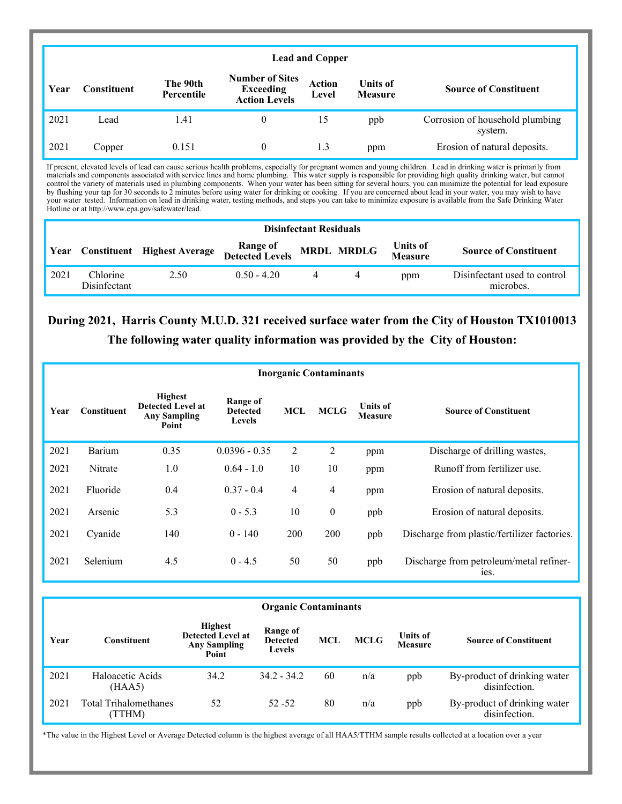|      | <b>Lead and Copper</b> |                        |                                                                    |                        |                                   |                                            |  |  |  |
|------|------------------------|------------------------|--------------------------------------------------------------------|------------------------|-----------------------------------|--------------------------------------------|--|--|--|
| Year | <b>Constituent</b>     | The 90th<br>Percentile | <b>Number of Sites</b><br><b>Exceeding</b><br><b>Action Levels</b> | <b>Action</b><br>Level | <b>Units of</b><br><b>Measure</b> | <b>Source of Constituent</b>               |  |  |  |
| 2021 | Lead                   | 1.41                   | $\theta$                                                           | 15                     | ppb                               | Corrosion of household plumbing<br>system. |  |  |  |
| 2021 | Copper                 | 0.151                  | $\theta$                                                           | 1.3                    | ppm                               | Erosion of natural deposits.               |  |  |  |

If present, elevated levels of lead can cause serious health problems, especially for pregnant women and young children. Lead in drinking water is primarily from materials and components associated with service lines and home plumbing. This water supply is responsible for providing high quality drinking water, but cannot control the variety of materials used in plumbing components. When your water has been sitting for several hours, you can minimize the potential for lead exposure by flushing your tap for 30 seconds to 2 minutes before using water for drinking or cooking. If you are concerned about lead in your water, you may wish to have your water tested. Information on lead in drinking water, testing methods, and steps you can take to minimize exposure is available from the Safe Drinking Water Hotline or at http://www.epa.gov/safewater/lead.

|      | <b>Disinfectant Residuals</b> |                                    |                                        |  |   |                            |                                           |  |  |
|------|-------------------------------|------------------------------------|----------------------------------------|--|---|----------------------------|-------------------------------------------|--|--|
| Year |                               | <b>Constituent</b> Highest Average | Range of<br>Detected Levels MRDL MRDLG |  |   | Units of<br><b>Measure</b> | <b>Source of Constituent</b>              |  |  |
| 2021 | Chlorine<br>Disinfectant      | 2.50                               | $0.50 - 4.20$                          |  | 4 | ppm                        | Disinfectant used to control<br>microbes. |  |  |

### **During 2021, Harris County M.U.D. 321 received surface water from the City of Houston TX1010013 The following water quality information was provided by the City of Houston:**

|      | <b>Inorganic Contaminants</b> |                                                                            |                                              |            |                  |                            |                                                 |  |  |  |  |
|------|-------------------------------|----------------------------------------------------------------------------|----------------------------------------------|------------|------------------|----------------------------|-------------------------------------------------|--|--|--|--|
| Year | <b>Constituent</b>            | <b>Highest</b><br><b>Detected Level at</b><br><b>Any Sampling</b><br>Point | Range of<br><b>Detected</b><br><b>Levels</b> | <b>MCL</b> | <b>MCLG</b>      | Units of<br><b>Measure</b> | <b>Source of Constituent</b>                    |  |  |  |  |
| 2021 | Barium                        | 0.35                                                                       | $0.0396 - 0.35$                              | 2          | 2                | ppm                        | Discharge of drilling wastes,                   |  |  |  |  |
| 2021 | Nitrate                       | 1.0                                                                        | $0.64 - 1.0$                                 | 10         | 10               | ppm                        | Runoff from fertilizer use.                     |  |  |  |  |
| 2021 | Fluoride                      | 0.4                                                                        | $0.37 - 0.4$                                 | 4          | $\overline{4}$   | ppm                        | Erosion of natural deposits.                    |  |  |  |  |
| 2021 | Arsenic                       | 5.3                                                                        | $0 - 5.3$                                    | 10         | $\boldsymbol{0}$ | ppb                        | Erosion of natural deposits.                    |  |  |  |  |
| 2021 | Cyanide                       | 140                                                                        | $0 - 140$                                    | 200        | 200              | ppb                        | Discharge from plastic/fertilizer factories.    |  |  |  |  |
| 2021 | Selenium                      | 4.5                                                                        | $0 - 4.5$                                    | 50         | 50               | ppb                        | Discharge from petroleum/metal refiner-<br>ies. |  |  |  |  |

|      | <b>Organic Contaminants</b>           |                                                                            |                                              |     |             |                            |                                               |  |  |  |
|------|---------------------------------------|----------------------------------------------------------------------------|----------------------------------------------|-----|-------------|----------------------------|-----------------------------------------------|--|--|--|
| Year | <b>Constituent</b>                    | <b>Highest</b><br><b>Detected Level at</b><br><b>Any Sampling</b><br>Point | Range of<br><b>Detected</b><br><b>Levels</b> | MCL | <b>MCLG</b> | <b>Units of</b><br>Measure | <b>Source of Constituent</b>                  |  |  |  |
| 2021 | Haloacetic Acids<br>(HAA5)            | 34.2                                                                       | $34.2 - 34.2$                                | 60  | n/a         | ppb                        | By-product of drinking water<br>disinfection. |  |  |  |
| 2021 | <b>Total Trihalomethanes</b><br>TTHM) | 52                                                                         | $52 - 52$                                    | 80  | n/a         | ppb                        | By-product of drinking water<br>disinfection. |  |  |  |

\*The value in the Highest Level or Average Detected column is the highest average of all HAA5/TTHM sample results collected at a location over a year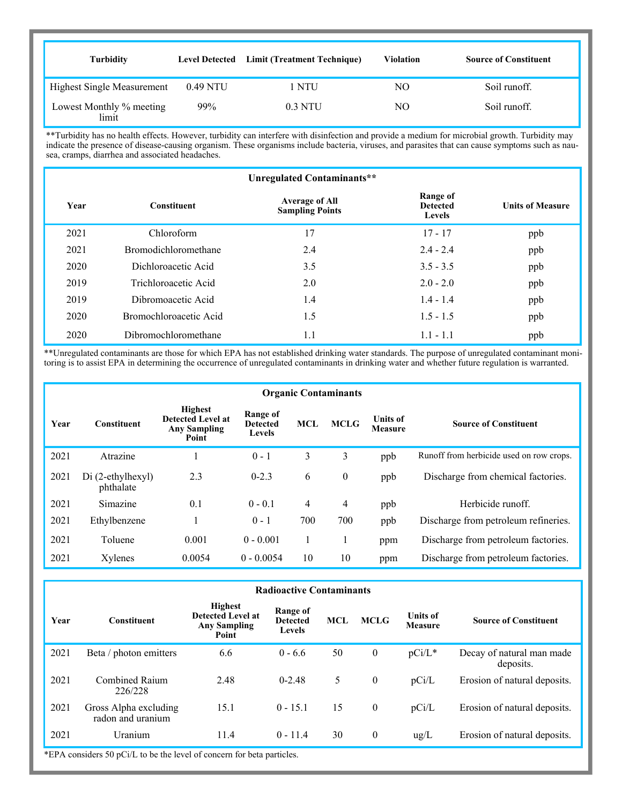| <b>Turbidity</b>                  | <b>Level Detected</b> | Limit (Treatment Technique) | <b>Violation</b> | <b>Source of Constituent</b> |
|-----------------------------------|-----------------------|-----------------------------|------------------|------------------------------|
| <b>Highest Single Measurement</b> | 0.49 NTU              | NTU                         | NО               | Soil runoff.                 |
| Lowest Monthly % meeting<br>limit | 99%                   | $0.3$ NTU                   | NО               | Soil runoff.                 |

\*\*Turbidity has no health effects. However, turbidity can interfere with disinfection and provide a medium for microbial growth. Turbidity may indicate the presence of disease-causing organism. These organisms include bacteria, viruses, and parasites that can cause symptoms such as nausea, cramps, diarrhea and associated headaches.

|      | Unregulated Contaminants**  |                                                 |                                              |                         |  |  |  |  |  |  |
|------|-----------------------------|-------------------------------------------------|----------------------------------------------|-------------------------|--|--|--|--|--|--|
| Year | <b>Constituent</b>          | <b>Average of All</b><br><b>Sampling Points</b> | Range of<br><b>Detected</b><br><b>Levels</b> | <b>Units of Measure</b> |  |  |  |  |  |  |
| 2021 | Chloroform                  | 17                                              | $17 - 17$                                    | ppb                     |  |  |  |  |  |  |
| 2021 | <b>Bromodichloromethane</b> | 2.4                                             | $2.4 - 2.4$                                  | ppb                     |  |  |  |  |  |  |
| 2020 | Dichloroacetic Acid         | 3.5                                             | $3.5 - 3.5$                                  | ppb                     |  |  |  |  |  |  |
| 2019 | Trichloroacetic Acid        | 2.0                                             | $2.0 - 2.0$                                  | ppb                     |  |  |  |  |  |  |
| 2019 | Dibromoacetic Acid          | 1.4                                             | $1.4 - 1.4$                                  | ppb                     |  |  |  |  |  |  |
| 2020 | Bromochloroacetic Acid      | 1.5                                             | $1.5 - 1.5$                                  | ppb                     |  |  |  |  |  |  |
| 2020 | Dibromochloromethane        | 1.1                                             | $1.1 - 1.1$                                  | ppb                     |  |  |  |  |  |  |

\*\*Unregulated contaminants are those for which EPA has not established drinking water standards. The purpose of unregulated contaminant monitoring is to assist EPA in determining the occurrence of unregulated contaminants in drinking water and whether future regulation is warranted.

|      | <b>Organic Contaminants</b>    |                                                                            |                                              |                |              |                            |                                          |  |  |  |
|------|--------------------------------|----------------------------------------------------------------------------|----------------------------------------------|----------------|--------------|----------------------------|------------------------------------------|--|--|--|
| Year | <b>Constituent</b>             | <b>Highest</b><br><b>Detected Level at</b><br><b>Any Sampling</b><br>Point | Range of<br><b>Detected</b><br><b>Levels</b> | <b>MCL</b>     | <b>MCLG</b>  | <b>Units of</b><br>Measure | <b>Source of Constituent</b>             |  |  |  |
| 2021 | Atrazine                       |                                                                            | $0 - 1$                                      | 3              | 3            | ppb                        | Runoff from herbicide used on row crops. |  |  |  |
| 2021 | Di (2-ethylhexyl)<br>phthalate | 2.3                                                                        | $0 - 2.3$                                    | 6              | $\mathbf{0}$ | ppb                        | Discharge from chemical factories.       |  |  |  |
| 2021 | Simazine                       | 0.1                                                                        | $0 - 0.1$                                    | $\overline{4}$ | 4            | ppb                        | Herbicide runoff.                        |  |  |  |
| 2021 | Ethylbenzene                   |                                                                            | $0 - 1$                                      | 700            | 700          | ppb                        | Discharge from petroleum refineries.     |  |  |  |
| 2021 | Toluene                        | 0.001                                                                      | $0 - 0.001$                                  |                |              | ppm                        | Discharge from petroleum factories.      |  |  |  |
| 2021 | Xylenes                        | 0.0054                                                                     | $0 - 0.0054$                                 | 10             | 10           | ppm                        | Discharge from petroleum factories.      |  |  |  |

|      | <b>Radioactive Contaminants</b>            |                                                                            |                                              |            |                  |                                   |                                        |  |  |  |  |
|------|--------------------------------------------|----------------------------------------------------------------------------|----------------------------------------------|------------|------------------|-----------------------------------|----------------------------------------|--|--|--|--|
| Year | <b>Constituent</b>                         | <b>Highest</b><br><b>Detected Level at</b><br><b>Any Sampling</b><br>Point | Range of<br><b>Detected</b><br><b>Levels</b> | <b>MCL</b> | <b>MCLG</b>      | <b>Units of</b><br><b>Measure</b> | <b>Source of Constituent</b>           |  |  |  |  |
| 2021 | Beta / photon emitters                     | 6.6                                                                        | $0 - 6.6$                                    | 50         | $\boldsymbol{0}$ | $pCi/L^*$                         | Decay of natural man made<br>deposits. |  |  |  |  |
| 2021 | Combined Raium<br>226/228                  | 2.48                                                                       | $0 - 2.48$                                   | 5          | $\mathbf{0}$     | pCi/L                             | Erosion of natural deposits.           |  |  |  |  |
| 2021 | Gross Alpha excluding<br>radon and uranium | 15.1                                                                       | $0 - 15.1$                                   | 15         | $\mathbf{0}$     | pCi/L                             | Erosion of natural deposits.           |  |  |  |  |
| 2021 | Uranium                                    | 11.4                                                                       | $0 - 11.4$                                   | 30         | $\boldsymbol{0}$ | $\text{ug/L}$                     | Erosion of natural deposits.           |  |  |  |  |

\*EPA considers 50 pCi/L to be the level of concern for beta particles.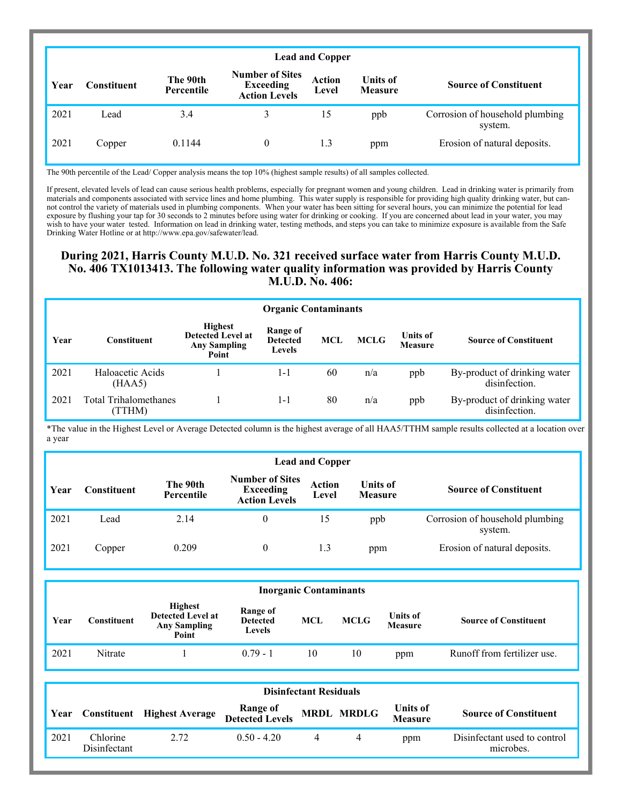|      | <b>Lead and Copper</b> |                        |                                                                    |                        |                                   |                                            |  |  |  |
|------|------------------------|------------------------|--------------------------------------------------------------------|------------------------|-----------------------------------|--------------------------------------------|--|--|--|
| Year | <b>Constituent</b>     | The 90th<br>Percentile | <b>Number of Sites</b><br><b>Exceeding</b><br><b>Action Levels</b> | <b>Action</b><br>Level | <b>Units of</b><br><b>Measure</b> | <b>Source of Constituent</b>               |  |  |  |
| 2021 | Lead                   | 3.4                    | 3                                                                  | 15                     | ppb                               | Corrosion of household plumbing<br>system. |  |  |  |
| 2021 | Copper                 | 0.1144                 | $\theta$                                                           | 1.3                    | ppm                               | Erosion of natural deposits.               |  |  |  |

The 90th percentile of the Lead/ Copper analysis means the top 10% (highest sample results) of all samples collected.

If present, elevated levels of lead can cause serious health problems, especially for pregnant women and young children. Lead in drinking water is primarily from materials and components associated with service lines and home plumbing. This water supply is responsible for providing high quality drinking water, but cannot control the variety of materials used in plumbing components. When your water has been sitting for several hours, you can minimize the potential for lead exposure by flushing your tap for 30 seconds to 2 minutes before using water for drinking or cooking. If you are concerned about lead in your water, you may wish to have your water tested. Information on lead in drinking water, testing methods, and steps you can take to minimize exposure is available from the Safe Drinking Water Hotline or at http://www.epa.gov/safewater/lead.

#### **During 2021, Harris County M.U.D. No. 321 received surface water from Harris County M.U.D. No. 406 TX1013413. The following water quality information was provided by Harris County M.U.D. No. 406:**

|      | <b>Organic Contaminants</b>           |                                                                            |                                       |            |             |                                   |                                               |
|------|---------------------------------------|----------------------------------------------------------------------------|---------------------------------------|------------|-------------|-----------------------------------|-----------------------------------------------|
| Year | Constituent                           | <b>Highest</b><br><b>Detected Level at</b><br><b>Any Sampling</b><br>Point | Range of<br><b>Detected</b><br>Levels | <b>MCL</b> | <b>MCLG</b> | <b>Units of</b><br><b>Measure</b> | <b>Source of Constituent</b>                  |
| 2021 | Haloacetic Acids<br>(HAA5)            |                                                                            | 1-1                                   | 60         | n/a         | ppb                               | By-product of drinking water<br>disinfection. |
| 2021 | <b>Total Trihalomethanes</b><br>TTHM) |                                                                            | 1-1                                   | 80         | n/a         | ppb                               | By-product of drinking water<br>disinfection. |

\*The value in the Highest Level or Average Detected column is the highest average of all HAA5/TTHM sample results collected at a location over a year

|      | <b>Lead and Copper</b> |                        |                                                                    |                 |                                   |                                            |  |  |
|------|------------------------|------------------------|--------------------------------------------------------------------|-----------------|-----------------------------------|--------------------------------------------|--|--|
| Year | Constituent            | The 90th<br>Percentile | <b>Number of Sites</b><br><b>Exceeding</b><br><b>Action Levels</b> | Action<br>Level | <b>Units of</b><br><b>Measure</b> | <b>Source of Constituent</b>               |  |  |
| 2021 | Lead                   | 2.14                   | 0                                                                  | 15              | ppb                               | Corrosion of household plumbing<br>system. |  |  |
| 2021 | Copper                 | 0.209                  | 0                                                                  | 1.3             | ppm                               | Erosion of natural deposits.               |  |  |

|      | <b>Inorganic Contaminants</b> |                                                                            |                                              |     |             |                                   |                              |  |
|------|-------------------------------|----------------------------------------------------------------------------|----------------------------------------------|-----|-------------|-----------------------------------|------------------------------|--|
| Year | <b>Constituent</b>            | <b>Highest</b><br><b>Detected Level at</b><br><b>Any Sampling</b><br>Point | Range of<br><b>Detected</b><br><b>Levels</b> | MCL | <b>MCLG</b> | <b>Units of</b><br><b>Measure</b> | <b>Source of Constituent</b> |  |
| 2021 | Nitrate                       |                                                                            | $0.79 - 1$                                   | 10  | 10          | ppm                               | Runoff from fertilizer use.  |  |

|      | <b>Disinfectant Residuals</b> |                                    |                                        |  |  |                                   |                                           |  |
|------|-------------------------------|------------------------------------|----------------------------------------|--|--|-----------------------------------|-------------------------------------------|--|
| Year |                               | <b>Constituent</b> Highest Average | Range of<br>Detected Levels MRDL MRDLG |  |  | <b>Units of</b><br><b>Measure</b> | <b>Source of Constituent</b>              |  |
| 2021 | Chlorine<br>Disinfectant      | 2.72.                              | $0.50 - 4.20$                          |  |  | ppm                               | Disinfectant used to control<br>microbes. |  |